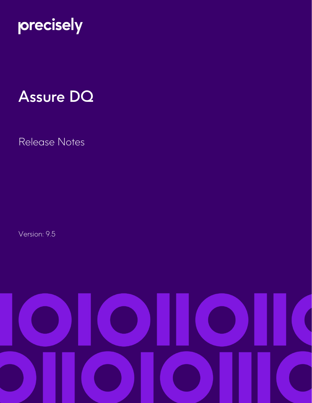

# Assure DQ

Release Notes

Version: 9.5

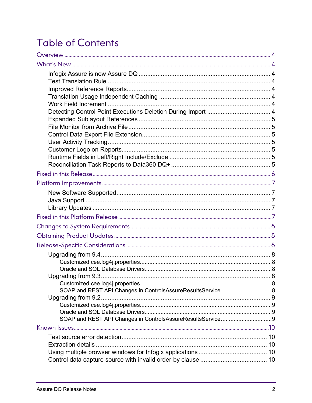# **Table of Contents**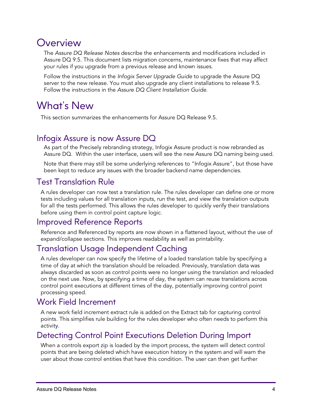## <span id="page-3-0"></span>**Overview**

The *Assure DQ Release Notes* describe the enhancements and modifications included in Assure DQ 9.5. This document lists migration concerns, maintenance fixes that may affect your rules if you upgrade from a previous release and known issues.

Follow the instructions in the *Infogix Server Upgrade Guide* to upgrade the Assure DQ server to the new release. You must also upgrade any client installations to release 9.5. Follow the instructions in the *Assure DQ Client Installation Guide*.

# <span id="page-3-1"></span>What's New

This section summarizes the enhancements for Assure DQ Release 9.5.

### <span id="page-3-2"></span>Infogix Assure is now Assure DQ

As part of the Precisely rebranding strategy, Infogix Assure product is now rebranded as Assure DQ. Within the user interface, users will see the new Assure DQ naming being used.

Note that there may still be some underlying references to "Infogix Assure", but those have been kept to reduce any issues with the broader backend name dependencies.

### <span id="page-3-3"></span>Test Translation Rule

A rules developer can now test a translation rule. The rules developer can define one or more tests including values for all translation inputs, run the test, and view the translation outputs for all the tests performed. This allows the rules developer to quickly verify their translations before using them in control point capture logic.

#### <span id="page-3-4"></span>Improved Reference Reports

Reference and Referenced by reports are now shown in a flattened layout, without the use of expand/collapse sections. This improves readability as well as printability.

### <span id="page-3-5"></span>Translation Usage Independent Caching

A rules developer can now specify the lifetime of a loaded translation table by specifying a time of day at which the translation should be reloaded. Previously, translation data was always discarded as soon as control points were no longer using the translation and reloaded on the next use. Now, by specifying a time of day, the system can reuse translations across control point executions at different times of the day, potentially improving control point processing speed.

### <span id="page-3-6"></span>Work Field Increment

A new work field increment extract rule is added on the Extract tab for capturing control points. This simplifies rule building for the rules developer who often needs to perform this activity.

### <span id="page-3-7"></span>Detecting Control Point Executions Deletion During Import

When a controls export zip is loaded by the import process, the system will detect control points that are being deleted which have execution history in the system and will warn the user about those control entities that have this condition. The user can then get further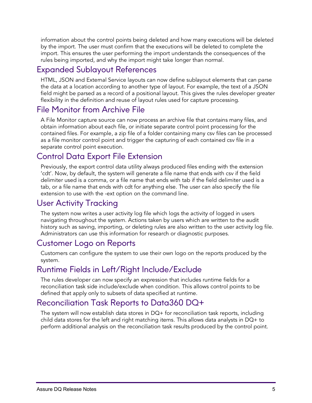information about the control points being deleted and how many executions will be deleted by the import. The user must confirm that the executions will be deleted to complete the import. This ensures the user performing the import understands the consequences of the rules being imported, and why the import might take longer than normal.

### <span id="page-4-0"></span>Expanded Sublayout References

HTML, JSON and External Service layouts can now define sublayout elements that can parse the data at a location according to another type of layout. For example, the text of a JSON field might be parsed as a record of a positional layout. This gives the rules developer greater flexibility in the definition and reuse of layout rules used for capture processing.

### <span id="page-4-1"></span>File Monitor from Archive File

A File Monitor capture source can now process an archive file that contains many files, and obtain information about each file, or initiate separate control point processing for the contained files. For example, a zip file of a folder containing many csv files can be processed as a file monitor control point and trigger the capturing of each contained csv file in a separate control point execution.

#### <span id="page-4-2"></span>Control Data Export File Extension

Previously, the export control data utility always produced files ending with the extension 'cdt'. Now, by default, the system will generate a file name that ends with csv if the field delimiter used is a comma, or a file name that ends with tab if the field delimiter used is a tab, or a file name that ends with cdt for anything else. The user can also specify the file extension to use with the -ext option on the command line.

### <span id="page-4-3"></span>User Activity Tracking

The system now writes a user activity log file which logs the activity of logged in users navigating throughout the system. Actions taken by users which are written to the audit history such as saving, importing, or deleting rules are also written to the user activity log file. Administrators can use this information for research or diagnostic purposes.

### <span id="page-4-4"></span>Customer Logo on Reports

Customers can configure the system to use their own logo on the reports produced by the system.

#### <span id="page-4-5"></span>Runtime Fields in Left/Right Include/Exclude

The rules developer can now specify an expression that includes runtime fields for a reconciliation task side include/exclude when condition. This allows control points to be defined that apply only to subsets of data specified at runtime.

### <span id="page-4-6"></span>Reconciliation Task Reports to Data360 DQ+

The system will now establish data stores in DQ+ for reconciliation task reports, including child data stores for the left and right matching items. This allows data analysts in DQ+ to perform additional analysis on the reconciliation task results produced by the control point.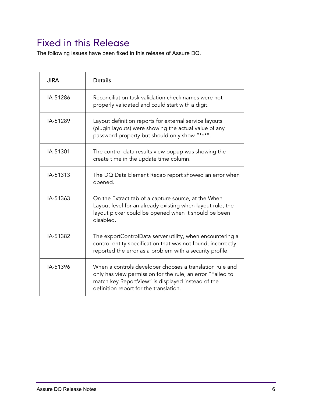# <span id="page-5-0"></span>Fixed in this Release

The following issues have been fixed in this release of Assure DQ.

| <b>JIRA</b> | <b>Details</b>                                                                                                                                                                                                        |
|-------------|-----------------------------------------------------------------------------------------------------------------------------------------------------------------------------------------------------------------------|
| IA-51286    | Reconciliation task validation check names were not<br>properly validated and could start with a digit.                                                                                                               |
| IA-51289    | Layout definition reports for external service layouts<br>(plugin layouts) were showing the actual value of any<br>password property but should only show "***".                                                      |
| IA-51301    | The control data results view popup was showing the<br>create time in the update time column.                                                                                                                         |
| IA-51313    | The DQ Data Element Recap report showed an error when<br>opened.                                                                                                                                                      |
| IA-51363    | On the Extract tab of a capture source, at the When<br>Layout level for an already existing when layout rule, the<br>layout picker could be opened when it should be been<br>disabled.                                |
| IA-51382    | The exportControlData server utility, when encountering a<br>control entity specification that was not found, incorrectly<br>reported the error as a problem with a security profile.                                 |
| IA-51396    | When a controls developer chooses a translation rule and<br>only has view permission for the rule, an error "Failed to<br>match key ReportView" is displayed instead of the<br>definition report for the translation. |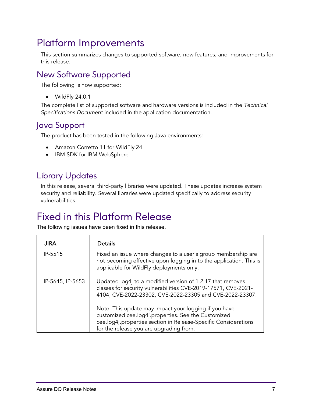# <span id="page-6-0"></span>Platform Improvements

This section summarizes changes to supported software, new features, and improvements for this release.

### <span id="page-6-1"></span>New Software Supported

The following is now supported:

• WildFly 24.0.1

The complete list of supported software and hardware versions is included in the *Technical Specifications Document* included in the application documentation.

### <span id="page-6-2"></span>Java Support

The product has been tested in the following Java environments:

- Amazon Corretto 11 for WildFly 24
- IBM SDK for IBM WebSphere

### <span id="page-6-3"></span>Library Updates

In this release, several third-party libraries were updated. These updates increase system security and reliability. Several libraries were updated specifically to address security vulnerabilities.

# <span id="page-6-4"></span>Fixed in this Platform Release

The following issues have been fixed in this release.

| <b>JIRA</b>      | <b>Details</b>                                                                                                                                                                                                             |
|------------------|----------------------------------------------------------------------------------------------------------------------------------------------------------------------------------------------------------------------------|
| IP-5515          | Fixed an issue where changes to a user's group membership are<br>not becoming effective upon logging in to the application. This is<br>applicable for WildFly deployments only.                                            |
| IP-5645, IP-5653 | Updated log4j to a modified version of 1.2.17 that removes<br>classes for security vulnerabilities CVE-2019-17571, CVE-2021-<br>4104, CVE-2022-23302, CVE-2022-23305 and CVE-2022-23307.                                   |
|                  | Note: This update may impact your logging if you have<br>customized cee.log4j.properties. See the Customized<br>cee.log4j.properties section in Release-Specific Considerations<br>for the release you are upgrading from. |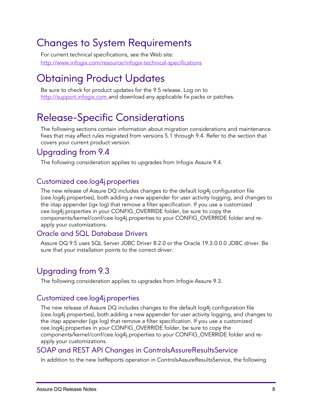# <span id="page-7-0"></span>Changes to System Requirements

For current technical specifications, see the Web site: [http://www.infogix.com/resource/infogix-technical-specifications](http://www.infogix.com/resource/infogix-technical-specifications/)

# <span id="page-7-1"></span>Obtaining Product Updates

Be sure to check for product updates for the 9.5 release. Log on to [http://support.infogix.com](http://support.infogix.com/) and download any applicable fix packs or patches.

# <span id="page-7-2"></span>Release-Specific Considerations

The following sections contain information about migration considerations and maintenance fixes that may affect rules migrated from versions 5.1 through 9.4. Refer to the section that covers your current product version.

### <span id="page-7-3"></span>Upgrading from 9.4

The following consideration applies to upgrades from Infogix Assure 9.4.

#### <span id="page-7-4"></span>Customized cee.log4j.properties

The new release of Assure DQ includes changes to the default log4j configuration file (cee.log4j.properties), both adding a new appender for user activity logging, and changes to the iitap appender (igx log) that remove a filter specification. If you use a customized cee.log4j.properties in your CONFIG\_OVERRIDE folder, be sure to copy the components/kernel/conf/cee.log4j.properties to your CONFIG\_OVERRIDE folder and reapply your customizations.

#### <span id="page-7-5"></span>Oracle and SQL Database Drivers

Assure DQ 9.5 uses SQL Server JDBC Driver 8.2.0 or the Oracle 19.3.0.0.0 JDBC driver. Be sure that your installation points to the correct driver.

### <span id="page-7-6"></span>Upgrading from 9.3

The following consideration applies to upgrades from Infogix Assure 9.3.

#### <span id="page-7-7"></span>Customized cee.log4j.properties

The new release of Assure DQ includes changes to the default log4j configuration file (cee.log4j.properties), both adding a new appender for user activity logging, and changes to the iitap appender (igx log) that remove a filter specification. If you use a customized cee.log4j.properties in your CONFIG\_OVERRIDE folder, be sure to copy the components/kernel/conf/cee.log4j.properties to your CONFIG\_OVERRIDE folder and reapply your customizations.

#### <span id="page-7-8"></span>SOAP and REST API Changes in ControlsAssureResultsService

In addition to the new listReports operation in ControlsAssureResultsService, the following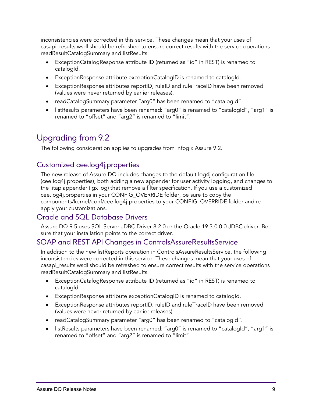inconsistencies were corrected in this service. These changes mean that your uses of casapi\_results.wsdl should be refreshed to ensure correct results with the service operations readResultCatalogSummary and listResults.

- ExceptionCatalogResponse attribute ID (returned as "id" in REST) is renamed to catalogId.
- ExceptionResponse attribute exceptionCatalogID is renamed to catalogId.
- ExceptionResponse attributes reportID, ruleID and ruleTraceID have been removed (values were never returned by earlier releases).
- readCatalogSummary parameter "arg0" has been renamed to "catalogId".
- listResults parameters have been renamed: "arg0" is renamed to "catalogId", "arg1" is renamed to "offset" and "arg2" is renamed to "limit".

### <span id="page-8-0"></span>Upgrading from 9.2

The following consideration applies to upgrades from Infogix Assure 9.2.

#### <span id="page-8-1"></span>Customized cee.log4j.properties

The new release of Assure DQ includes changes to the default log4j configuration file (cee.log4j.properties), both adding a new appender for user activity logging, and changes to the iitap appender (igx log) that remove a filter specification. If you use a customized cee.log4j.properties in your CONFIG\_OVERRIDE folder, be sure to copy the components/kernel/conf/cee.log4j.properties to your CONFIG\_OVERRIDE folder and reapply your customizations.

#### <span id="page-8-2"></span>Oracle and SQL Database Drivers

Assure DQ 9.5 uses SQL Server JDBC Driver 8.2.0 or the Oracle 19.3.0.0.0 JDBC driver. Be sure that your installation points to the correct driver.

#### <span id="page-8-3"></span>SOAP and REST API Changes in ControlsAssureResultsService

In addition to the new listReports operation in ControlsAssureResultsService, the following inconsistencies were corrected in this service. These changes mean that your uses of casapi\_results.wsdl should be refreshed to ensure correct results with the service operations readResultCatalogSummary and listResults.

- ExceptionCatalogResponse attribute ID (returned as "id" in REST) is renamed to catalogId.
- ExceptionResponse attribute exceptionCatalogID is renamed to catalogId.
- ExceptionResponse attributes reportID, ruleID and ruleTraceID have been removed (values were never returned by earlier releases).
- readCatalogSummary parameter "arg0" has been renamed to "catalogId".
- listResults parameters have been renamed: "arg0" is renamed to "catalogId", "arg1" is renamed to "offset" and "arg2" is renamed to "limit".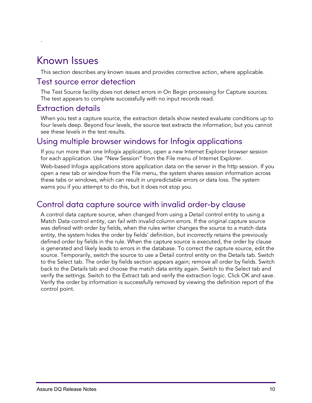# <span id="page-9-0"></span>Known Issues

.

This section describes any known issues and provides corrective action, where applicable.

#### <span id="page-9-1"></span>Test source error detection

The Test Source facility does not detect errors in On Begin processing for Capture sources. The test appears to complete successfully with no input records read.

#### <span id="page-9-2"></span>Extraction details

When you test a capture source, the extraction details show nested evaluate conditions up to four levels deep. Beyond four levels, the source test extracts the information, but you cannot see these levels in the test results.

#### <span id="page-9-3"></span>Using multiple browser windows for Infogix applications

If you run more than one Infogix application, open a new Internet Explorer browser session for each application. Use "New Session" from the File menu of Internet Explorer.

Web-based Infogix applications store application data on the server in the http session. If you open a new tab or window from the File menu, the system shares session information across these tabs or windows, which can result in unpredictable errors or data loss. The system warns you if you attempt to do this, but it does not stop you.

### <span id="page-9-4"></span>Control data capture source with invalid order-by clause

A control data capture source, when changed from using a Detail control entity to using a Match Data control entity, can fail with invalid column errors. If the original capture source was defined with order by fields, when the rules writer changes the source to a match data entity, the system hides the order by fields' definition, but incorrectly retains the previously defined order by fields in the rule. When the capture source is executed, the order by clause is generated and likely leads to errors in the database. To correct the capture source, edit the source. Temporarily, switch the source to use a Detail control entity on the Details tab. Switch to the Select tab. The order by fields section appears again; remove all order by fields. Switch back to the Details tab and choose the match data entity again. Switch to the Select tab and verify the settings. Switch to the Extract tab and verify the extraction logic. Click OK and save. Verify the order by information is successfully removed by viewing the definition report of the control point.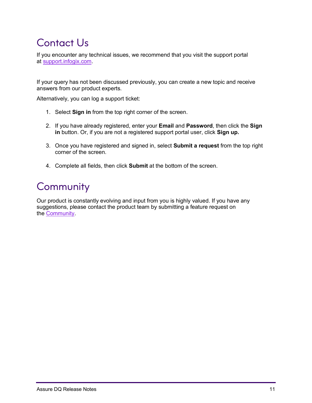# <span id="page-10-0"></span>Contact Us

If you encounter any technical issues, we recommend that you visit the support portal at [support.infogix.com.](https://support.infogix.com/hc/en-us)

If your query has not been discussed previously, you can create a new topic and receive answers from our product experts.

Alternatively, you can log a support ticket:

- 1. Select **Sign in** from the top right corner of the screen.
- 2. If you have already registered, enter your **Email** and **Password**, then click the **Sign in** button. Or, if you are not a registered support portal user, click **Sign up.**
- 3. Once you have registered and signed in, select **Submit a request** from the top right corner of the screen.
- 4. Complete all fields, then click **Submit** at the bottom of the screen.

# <span id="page-10-1"></span>**Community**

Our product is constantly evolving and input from you is highly valued. If you have any suggestions, please contact the product team by submitting a feature request on the [Community.](https://support.infogix.com/hc/en-us/community/topics)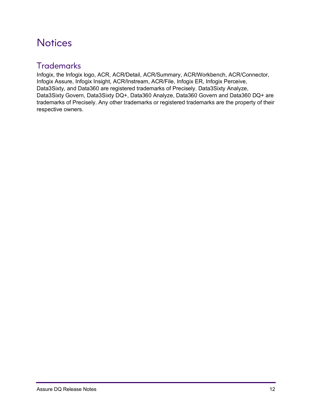# <span id="page-11-0"></span>**Notices**

### <span id="page-11-1"></span>**Trademarks**

Infogix, the Infogix logo, ACR, ACR/Detail, ACR/Summary, ACR/Workbench, ACR/Connector, Infogix Assure, Infogix Insight, ACR/Instream, ACR/File, Infogix ER, Infogix Perceive, Data3Sixty, and Data360 are registered trademarks of Precisely. Data3Sixty Analyze, Data3Sixty Govern, Data3Sixty DQ+, Data360 Analyze, Data360 Govern and Data360 DQ+ are trademarks of Precisely. Any other trademarks or registered trademarks are the property of their respective owners.